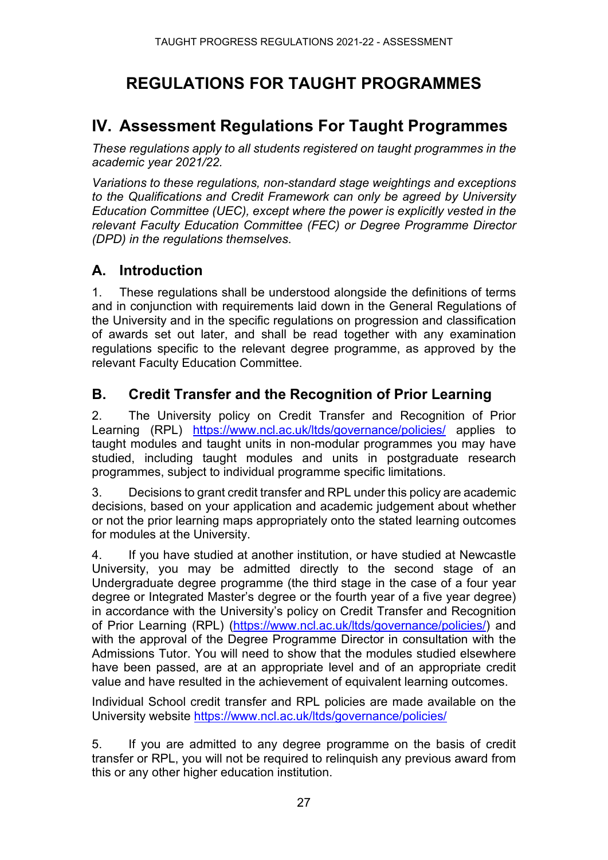# **REGULATIONS FOR TAUGHT PROGRAMMES**

# **IV. Assessment Regulations For Taught Programmes**

*These regulations apply to all students registered on taught programmes in the academic year 2021/22.*

*Variations to these regulations, non-standard stage weightings and exceptions to the Qualifications and Credit Framework can only be agreed by University Education Committee (UEC), except where the power is explicitly vested in the relevant Faculty Education Committee (FEC) or Degree Programme Director (DPD) in the regulations themselves*.

#### **A. Introduction**

1. These regulations shall be understood alongside the definitions of terms and in conjunction with requirements laid down in the General Regulations of the University and in the specific regulations on progression and classification of awards set out later, and shall be read together with any examination regulations specific to the relevant degree programme, as approved by the relevant Faculty Education Committee.

# **B. Credit Transfer and the Recognition of Prior Learning**

2. The University policy on Credit Transfer and Recognition of Prior Learning (RPL) <https://www.ncl.ac.uk/ltds/governance/policies/> applies to taught modules and taught units in non-modular programmes you may have studied, including taught modules and units in postgraduate research programmes, subject to individual programme specific limitations.

3. Decisions to grant credit transfer and RPL under this policy are academic decisions, based on your application and academic judgement about whether or not the prior learning maps appropriately onto the stated learning outcomes for modules at the University.

4. If you have studied at another institution, or have studied at Newcastle University, you may be admitted directly to the second stage of an Undergraduate degree programme (the third stage in the case of a four year degree or Integrated Master's degree or the fourth year of a five year degree) in accordance with the University's policy on Credit Transfer and Recognition of Prior Learning (RPL) [\(https://www.ncl.ac.uk/ltds/governance/policies/\)](https://www.ncl.ac.uk/ltds/governance/policies/) and with the approval of the Degree Programme Director in consultation with the Admissions Tutor. You will need to show that the modules studied elsewhere have been passed, are at an appropriate level and of an appropriate credit value and have resulted in the achievement of equivalent learning outcomes.

Individual School credit transfer and RPL policies are made available on the University website<https://www.ncl.ac.uk/ltds/governance/policies/>

5. If you are admitted to any degree programme on the basis of credit transfer or RPL, you will not be required to relinquish any previous award from this or any other higher education institution.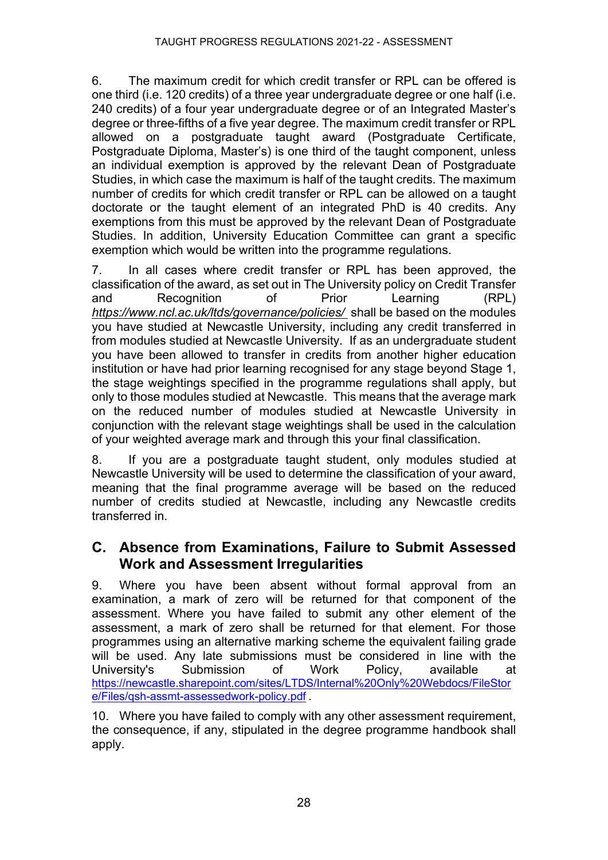6. The maximum credit for which credit transfer or RPL can be offered is one third (i.e. 120 credits) of a three year undergraduate degree or one half (i.e. 240 credits) of a four year undergraduate degree or of an Integrated Master's degree or three-fifths of a five year degree. The maximum credit transfer or RPL allowed on a postgraduate taught award (Postgraduate Certificate, Postgraduate Diploma, Master's) is one third of the taught component, unless an individual exemption is approved by the relevant Dean of Postgraduate Studies, in which case the maximum is half of the taught credits. The maximum number of credits for which credit transfer or RPL can be allowed on a taught doctorate or the taught element of an integrated PhD is 40 credits. Any exemptions from this must be approved by the relevant Dean of Postgraduate Studies. In addition, University Education Committee can grant a specific exemption which would be written into the programme regulations.

7. In all cases where credit transfer or RPL has been approved, the classification of the award, as set out in The University policy on Credit Transfer and Recognition of Prior Learning (RPL) *<https://www.ncl.ac.uk/ltds/governance/policies/>* shall be based on the modules you have studied at Newcastle University, including any credit transferred in from modules studied at Newcastle University. If as an undergraduate student you have been allowed to transfer in credits from another higher education institution or have had prior learning recognised for any stage beyond Stage 1, the stage weightings specified in the programme regulations shall apply, but only to those modules studied at Newcastle. This means that the average mark on the reduced number of modules studied at Newcastle University in conjunction with the relevant stage weightings shall be used in the calculation of your weighted average mark and through this your final classification.

8. If you are a postgraduate taught student, only modules studied at Newcastle University will be used to determine the classification of your award, meaning that the final programme average will be based on the reduced number of credits studied at Newcastle, including any Newcastle credits transferred in.

# **C. Absence from Examinations, Failure to Submit Assessed Work and Assessment Irregularities**

9. Where you have been absent without formal approval from an examination, a mark of zero will be returned for that component of the assessment. Where you have failed to submit any other element of the assessment, a mark of zero shall be returned for that element. For those programmes using an alternative marking scheme the equivalent failing grade will be used. Any late submissions must be considered in line with the University's Submission of Work Policy, available at [https://newcastle.sharepoint.com/sites/LTDS/Internal%20Only%20Webdocs/FileStor](https://newcastle.sharepoint.com/sites/LTDS/Internal%20Only%20Webdocs/FileStore/Files/qsh-assmt-assessedwork-policy.pdf) [e/Files/qsh-assmt-assessedwork-policy.pdf](https://newcastle.sharepoint.com/sites/LTDS/Internal%20Only%20Webdocs/FileStore/Files/qsh-assmt-assessedwork-policy.pdf) .

10. Where you have failed to comply with any other assessment requirement, the consequence, if any, stipulated in the degree programme handbook shall apply.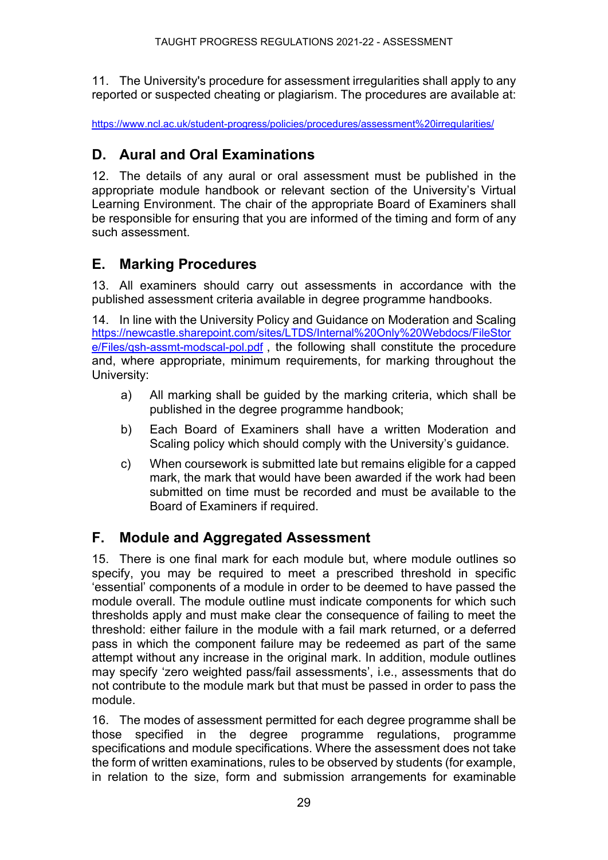11. The University's procedure for assessment irregularities shall apply to any reported or suspected cheating or plagiarism. The procedures are available at:

<https://www.ncl.ac.uk/student-progress/policies/procedures/assessment%20irregularities/>

# **D. Aural and Oral Examinations**

12. The details of any aural or oral assessment must be published in the appropriate module handbook or relevant section of the University's Virtual Learning Environment. The chair of the appropriate Board of Examiners shall be responsible for ensuring that you are informed of the timing and form of any such assessment.

# **E. Marking Procedures**

13. All examiners should carry out assessments in accordance with the published assessment criteria available in degree programme handbooks.

14. In line with the University Policy and Guidance on Moderation and Scaling [https://newcastle.sharepoint.com/sites/LTDS/Internal%20Only%20Webdocs/FileStor](https://newcastle.sharepoint.com/sites/LTDS/Internal%20Only%20Webdocs/FileStore/Files/qsh-assmt-modscal-pol.pdf) [e/Files/qsh-assmt-modscal-pol.pdf](https://newcastle.sharepoint.com/sites/LTDS/Internal%20Only%20Webdocs/FileStore/Files/qsh-assmt-modscal-pol.pdf) , the following shall constitute the procedure and, where appropriate, minimum requirements, for marking throughout the University:

- a) All marking shall be guided by the marking criteria, which shall be published in the degree programme handbook;
- b) Each Board of Examiners shall have a written Moderation and Scaling policy which should comply with the University's guidance.
- c) When coursework is submitted late but remains eligible for a capped mark, the mark that would have been awarded if the work had been submitted on time must be recorded and must be available to the Board of Examiners if required.

# **F. Module and Aggregated Assessment**

15. There is one final mark for each module but, where module outlines so specify, you may be required to meet a prescribed threshold in specific 'essential' components of a module in order to be deemed to have passed the module overall. The module outline must indicate components for which such thresholds apply and must make clear the consequence of failing to meet the threshold: either failure in the module with a fail mark returned, or a deferred pass in which the component failure may be redeemed as part of the same attempt without any increase in the original mark. In addition, module outlines may specify 'zero weighted pass/fail assessments', i.e., assessments that do not contribute to the module mark but that must be passed in order to pass the module.

16. The modes of assessment permitted for each degree programme shall be those specified in the degree programme regulations, programme specifications and module specifications. Where the assessment does not take the form of written examinations, rules to be observed by students (for example, in relation to the size, form and submission arrangements for examinable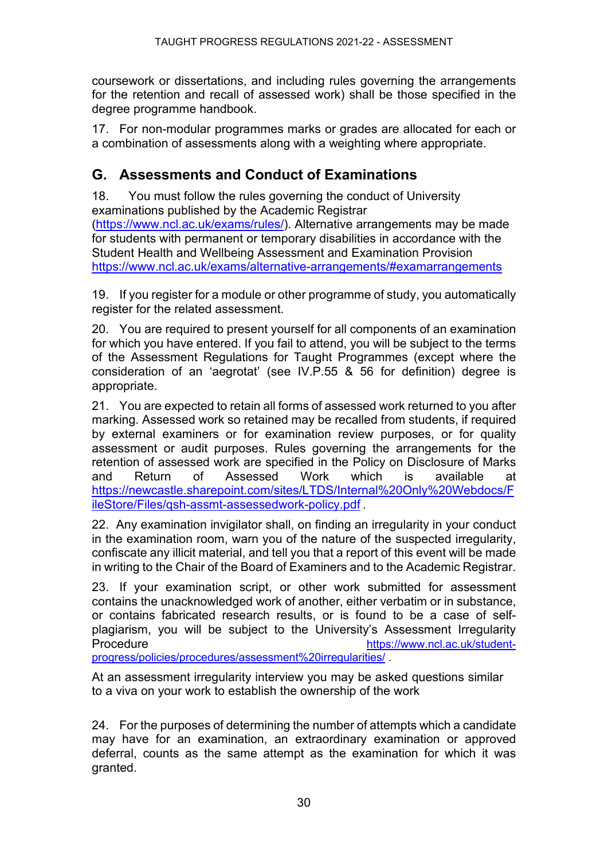coursework or dissertations, and including rules governing the arrangements for the retention and recall of assessed work) shall be those specified in the degree programme handbook.

17. For non-modular programmes marks or grades are allocated for each or a combination of assessments along with a weighting where appropriate.

# **G. Assessments and Conduct of Examinations**

18. You must follow the rules governing the conduct of University examinations published by the Academic Registrar [\(https://www.ncl.ac.uk/exams/rules/\)](https://www.ncl.ac.uk/exams/rules/). Alternative arrangements may be made for students with permanent or temporary disabilities in accordance with the Student Health and Wellbeing Assessment and Examination Provision <https://www.ncl.ac.uk/exams/alternative-arrangements/#examarrangements>

19. If you register for a module or other programme of study, you automatically register for the related assessment.

20. You are required to present yourself for all components of an examination for which you have entered. If you fail to attend, you will be subject to the terms of the Assessment Regulations for Taught Programmes (except where the consideration of an 'aegrotat' (see IV.P.55 & 56 for definition) degree is appropriate.

21. You are expected to retain all forms of assessed work returned to you after marking. Assessed work so retained may be recalled from students, if required by external examiners or for examination review purposes, or for quality assessment or audit purposes. Rules governing the arrangements for the retention of assessed work are specified in the Policy on Disclosure of Marks and Return of Assessed Work which is available at [https://newcastle.sharepoint.com/sites/LTDS/Internal%20Only%20Webdocs/F](https://newcastle.sharepoint.com/sites/LTDS/Internal%20Only%20Webdocs/FileStore/Files/qsh-assmt-assessedwork-policy.pdf) [ileStore/Files/qsh-assmt-assessedwork-policy.pdf](https://newcastle.sharepoint.com/sites/LTDS/Internal%20Only%20Webdocs/FileStore/Files/qsh-assmt-assessedwork-policy.pdf) .

22. Any examination invigilator shall, on finding an irregularity in your conduct in the examination room, warn you of the nature of the suspected irregularity, confiscate any illicit material, and tell you that a report of this event will be made in writing to the Chair of the Board of Examiners and to the Academic Registrar.

23. If your examination script, or other work submitted for assessment contains the unacknowledged work of another, either verbatim or in substance, or contains fabricated research results, or is found to be a case of selfplagiarism, you will be subject to the University's Assessment Irregularity Procedure **[https://www.ncl.ac.uk/student](https://www.ncl.ac.uk/student-progress/policies/procedures/assessment%20irregularities/)**[progress/policies/procedures/assessment%20irregularities/](https://www.ncl.ac.uk/student-progress/policies/procedures/assessment%20irregularities/) .

At an assessment irregularity interview you may be asked questions similar to a viva on your work to establish the ownership of the work

24. For the purposes of determining the number of attempts which a candidate may have for an examination, an extraordinary examination or approved deferral, counts as the same attempt as the examination for which it was granted.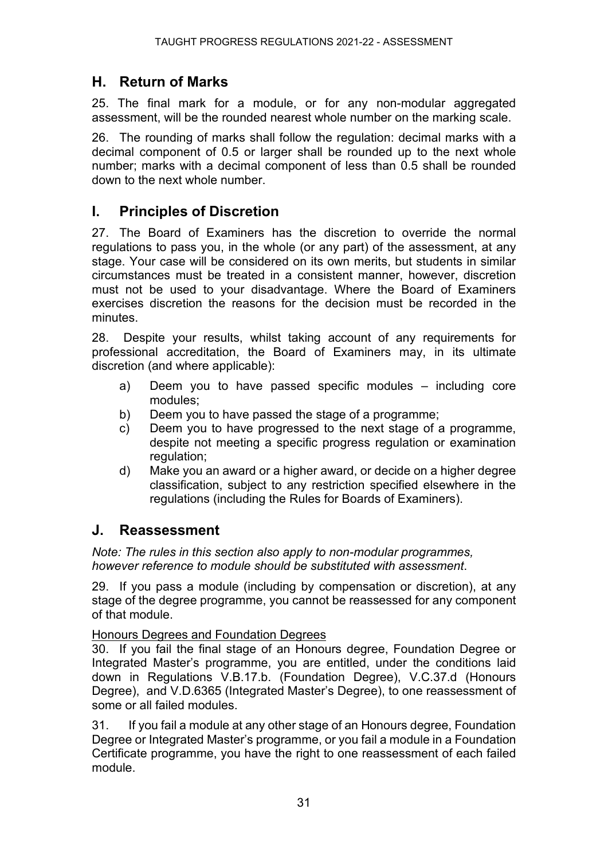### **H. Return of Marks**

25. The final mark for a module, or for any non-modular aggregated assessment, will be the rounded nearest whole number on the marking scale.

26. The rounding of marks shall follow the regulation: decimal marks with a decimal component of 0.5 or larger shall be rounded up to the next whole number; marks with a decimal component of less than 0.5 shall be rounded down to the next whole number.

# **I. Principles of Discretion**

27. The Board of Examiners has the discretion to override the normal regulations to pass you, in the whole (or any part) of the assessment, at any stage. Your case will be considered on its own merits, but students in similar circumstances must be treated in a consistent manner, however, discretion must not be used to your disadvantage. Where the Board of Examiners exercises discretion the reasons for the decision must be recorded in the minutes.

28. Despite your results, whilst taking account of any requirements for professional accreditation, the Board of Examiners may, in its ultimate discretion (and where applicable):

- a) Deem you to have passed specific modules including core modules;
- b) Deem you to have passed the stage of a programme;
- c) Deem you to have progressed to the next stage of a programme, despite not meeting a specific progress regulation or examination regulation;
- d) Make you an award or a higher award, or decide on a higher degree classification, subject to any restriction specified elsewhere in the regulations (including the Rules for Boards of Examiners).

### **J. Reassessment**

*Note: The rules in this section also apply to non-modular programmes, however reference to module should be substituted with assessment*.

29. If you pass a module (including by compensation or discretion), at any stage of the degree programme, you cannot be reassessed for any component of that module.

Honours Degrees and Foundation Degrees

30. If you fail the final stage of an Honours degree, Foundation Degree or Integrated Master's programme, you are entitled, under the conditions laid down in Regulations V.B.17.b. (Foundation Degree), V.C.37.d (Honours Degree), and V.D.6365 (Integrated Master's Degree), to one reassessment of some or all failed modules.

31. If you fail a module at any other stage of an Honours degree, Foundation Degree or Integrated Master's programme, or you fail a module in a Foundation Certificate programme, you have the right to one reassessment of each failed module.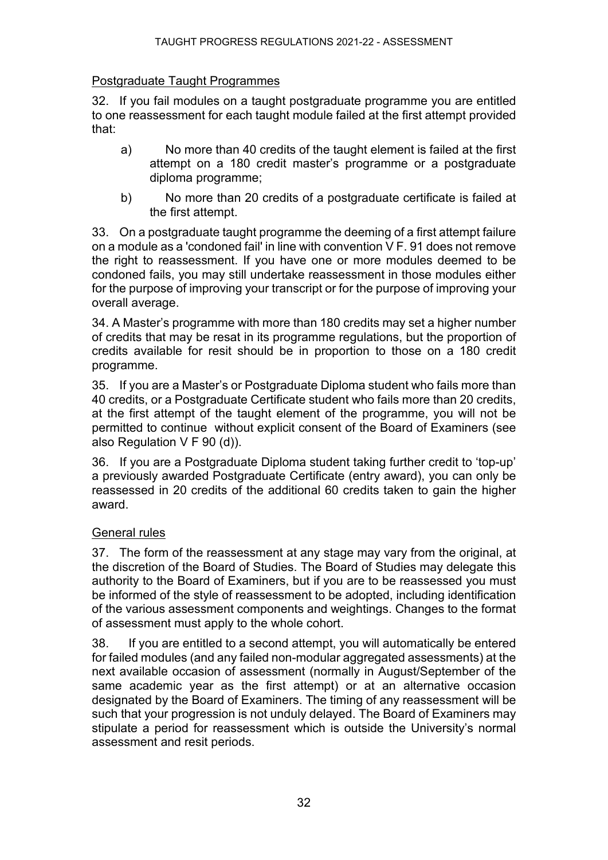#### Postgraduate Taught Programmes

32. If you fail modules on a taught postgraduate programme you are entitled to one reassessment for each taught module failed at the first attempt provided that:

- a) No more than 40 credits of the taught element is failed at the first attempt on a 180 credit master's programme or a postgraduate diploma programme;
- b) No more than 20 credits of a postgraduate certificate is failed at the first attempt.

33. On a postgraduate taught programme the deeming of a first attempt failure on a module as a 'condoned fail' in line with convention V F. 91 does not remove the right to reassessment. If you have one or more modules deemed to be condoned fails, you may still undertake reassessment in those modules either for the purpose of improving your transcript or for the purpose of improving your overall average.

34. A Master's programme with more than 180 credits may set a higher number of credits that may be resat in its programme regulations, but the proportion of credits available for resit should be in proportion to those on a 180 credit programme.

35. If you are a Master's or Postgraduate Diploma student who fails more than 40 credits, or a Postgraduate Certificate student who fails more than 20 credits, at the first attempt of the taught element of the programme, you will not be permitted to continue without explicit consent of the Board of Examiners (see also Regulation V F 90 (d)).

36. If you are a Postgraduate Diploma student taking further credit to 'top-up' a previously awarded Postgraduate Certificate (entry award), you can only be reassessed in 20 credits of the additional 60 credits taken to gain the higher award.

#### General rules

37. The form of the reassessment at any stage may vary from the original, at the discretion of the Board of Studies. The Board of Studies may delegate this authority to the Board of Examiners, but if you are to be reassessed you must be informed of the style of reassessment to be adopted, including identification of the various assessment components and weightings. Changes to the format of assessment must apply to the whole cohort.

38. If you are entitled to a second attempt, you will automatically be entered for failed modules (and any failed non-modular aggregated assessments) at the next available occasion of assessment (normally in August/September of the same academic year as the first attempt) or at an alternative occasion designated by the Board of Examiners. The timing of any reassessment will be such that your progression is not unduly delayed. The Board of Examiners may stipulate a period for reassessment which is outside the University's normal assessment and resit periods.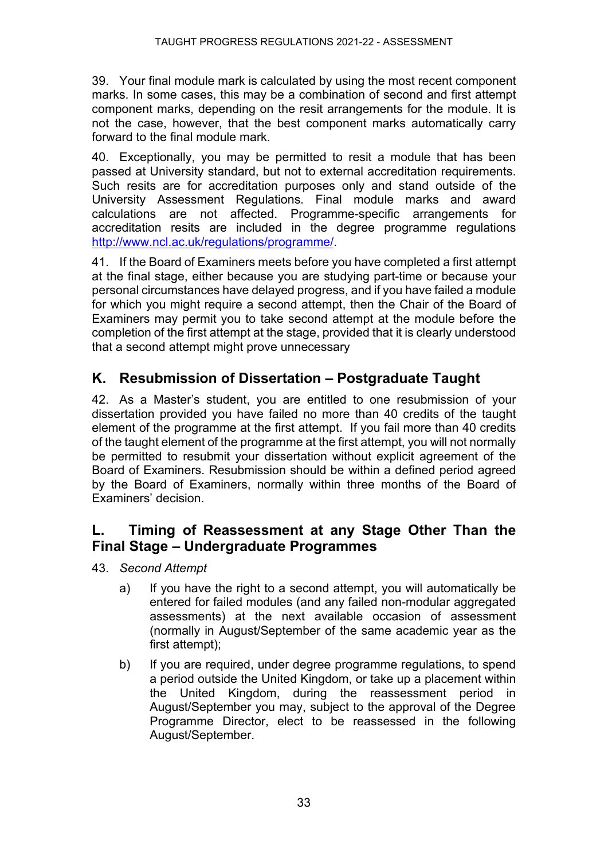39. Your final module mark is calculated by using the most recent component marks. In some cases, this may be a combination of second and first attempt component marks, depending on the resit arrangements for the module. It is not the case, however, that the best component marks automatically carry forward to the final module mark.

40. Exceptionally, you may be permitted to resit a module that has been passed at University standard, but not to external accreditation requirements. Such resits are for accreditation purposes only and stand outside of the University Assessment Regulations. Final module marks and award calculations are not affected. Programme-specific arrangements for accreditation resits are included in the degree programme regulations [http://www.ncl.ac.uk/regulations/programme/.](http://www.ncl.ac.uk/regulations/programme/)

41. If the Board of Examiners meets before you have completed a first attempt at the final stage, either because you are studying part-time or because your personal circumstances have delayed progress, and if you have failed a module for which you might require a second attempt, then the Chair of the Board of Examiners may permit you to take second attempt at the module before the completion of the first attempt at the stage, provided that it is clearly understood that a second attempt might prove unnecessary

# **K. Resubmission of Dissertation – Postgraduate Taught**

42. As a Master's student, you are entitled to one resubmission of your dissertation provided you have failed no more than 40 credits of the taught element of the programme at the first attempt. If you fail more than 40 credits of the taught element of the programme at the first attempt, you will not normally be permitted to resubmit your dissertation without explicit agreement of the Board of Examiners. Resubmission should be within a defined period agreed by the Board of Examiners, normally within three months of the Board of Examiners' decision.

# **L. Timing of Reassessment at any Stage Other Than the Final Stage – Undergraduate Programmes**

- 43. *Second Attempt*
	- a) If you have the right to a second attempt, you will automatically be entered for failed modules (and any failed non-modular aggregated assessments) at the next available occasion of assessment (normally in August/September of the same academic year as the first attempt);
	- b) If you are required, under degree programme regulations, to spend a period outside the United Kingdom, or take up a placement within the United Kingdom, during the reassessment period in August/September you may, subject to the approval of the Degree Programme Director, elect to be reassessed in the following August/September.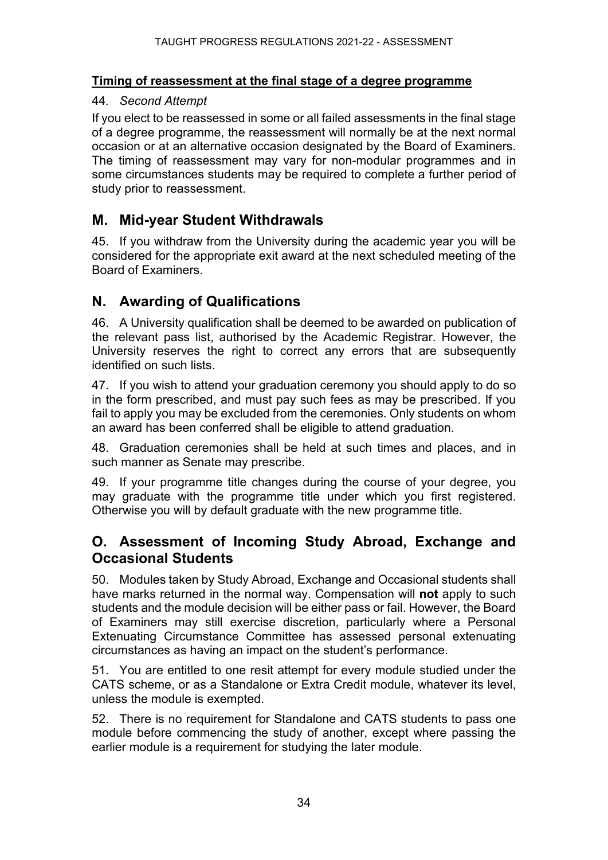#### **Timing of reassessment at the final stage of a degree programme**

#### 44*. Second Attempt*

If you elect to be reassessed in some or all failed assessments in the final stage of a degree programme, the reassessment will normally be at the next normal occasion or at an alternative occasion designated by the Board of Examiners. The timing of reassessment may vary for non-modular programmes and in some circumstances students may be required to complete a further period of study prior to reassessment.

# **M. Mid-year Student Withdrawals**

45. If you withdraw from the University during the academic year you will be considered for the appropriate exit award at the next scheduled meeting of the Board of Examiners.

# **N. Awarding of Qualifications**

46. A University qualification shall be deemed to be awarded on publication of the relevant pass list, authorised by the Academic Registrar. However, the University reserves the right to correct any errors that are subsequently identified on such lists.

47. If you wish to attend your graduation ceremony you should apply to do so in the form prescribed, and must pay such fees as may be prescribed. If you fail to apply you may be excluded from the ceremonies. Only students on whom an award has been conferred shall be eligible to attend graduation.

48. Graduation ceremonies shall be held at such times and places, and in such manner as Senate may prescribe.

49. If your programme title changes during the course of your degree, you may graduate with the programme title under which you first registered. Otherwise you will by default graduate with the new programme title.

# **O. Assessment of Incoming Study Abroad, Exchange and Occasional Students**

50. Modules taken by Study Abroad, Exchange and Occasional students shall have marks returned in the normal way. Compensation will **not** apply to such students and the module decision will be either pass or fail. However, the Board of Examiners may still exercise discretion, particularly where a Personal Extenuating Circumstance Committee has assessed personal extenuating circumstances as having an impact on the student's performance.

51. You are entitled to one resit attempt for every module studied under the CATS scheme, or as a Standalone or Extra Credit module, whatever its level, unless the module is exempted.

52. There is no requirement for Standalone and CATS students to pass one module before commencing the study of another, except where passing the earlier module is a requirement for studying the later module.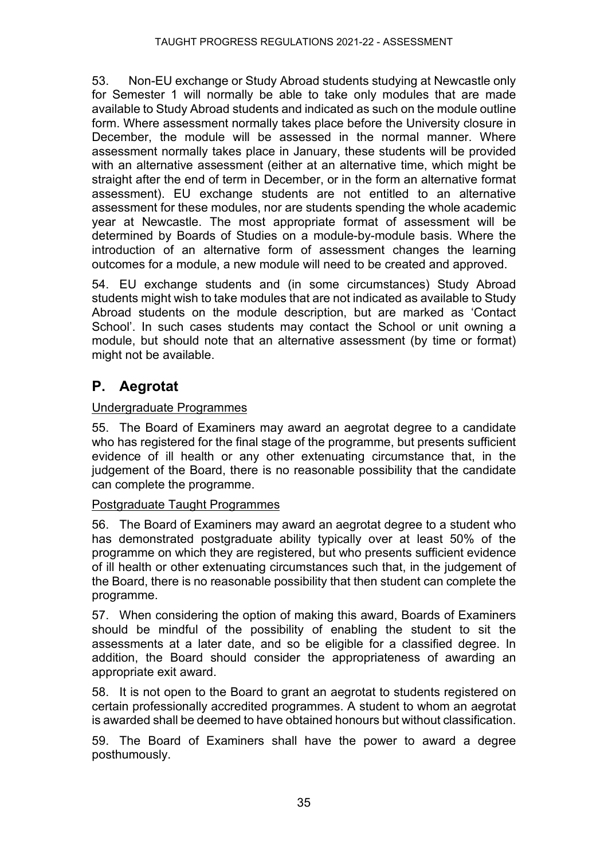53. Non-EU exchange or Study Abroad students studying at Newcastle only for Semester 1 will normally be able to take only modules that are made available to Study Abroad students and indicated as such on the module outline form. Where assessment normally takes place before the University closure in December, the module will be assessed in the normal manner. Where assessment normally takes place in January, these students will be provided with an alternative assessment (either at an alternative time, which might be straight after the end of term in December, or in the form an alternative format assessment). EU exchange students are not entitled to an alternative assessment for these modules, nor are students spending the whole academic year at Newcastle. The most appropriate format of assessment will be determined by Boards of Studies on a module-by-module basis. Where the introduction of an alternative form of assessment changes the learning outcomes for a module, a new module will need to be created and approved.

54. EU exchange students and (in some circumstances) Study Abroad students might wish to take modules that are not indicated as available to Study Abroad students on the module description, but are marked as 'Contact School'. In such cases students may contact the School or unit owning a module, but should note that an alternative assessment (by time or format) might not be available.

# **P. Aegrotat**

#### Undergraduate Programmes

55. The Board of Examiners may award an aegrotat degree to a candidate who has registered for the final stage of the programme, but presents sufficient evidence of ill health or any other extenuating circumstance that, in the judgement of the Board, there is no reasonable possibility that the candidate can complete the programme.

#### Postgraduate Taught Programmes

56. The Board of Examiners may award an aegrotat degree to a student who has demonstrated postgraduate ability typically over at least 50% of the programme on which they are registered, but who presents sufficient evidence of ill health or other extenuating circumstances such that, in the judgement of the Board, there is no reasonable possibility that then student can complete the programme.

57. When considering the option of making this award, Boards of Examiners should be mindful of the possibility of enabling the student to sit the assessments at a later date, and so be eligible for a classified degree. In addition, the Board should consider the appropriateness of awarding an appropriate exit award.

58. It is not open to the Board to grant an aegrotat to students registered on certain professionally accredited programmes. A student to whom an aegrotat is awarded shall be deemed to have obtained honours but without classification.

59. The Board of Examiners shall have the power to award a degree posthumously.